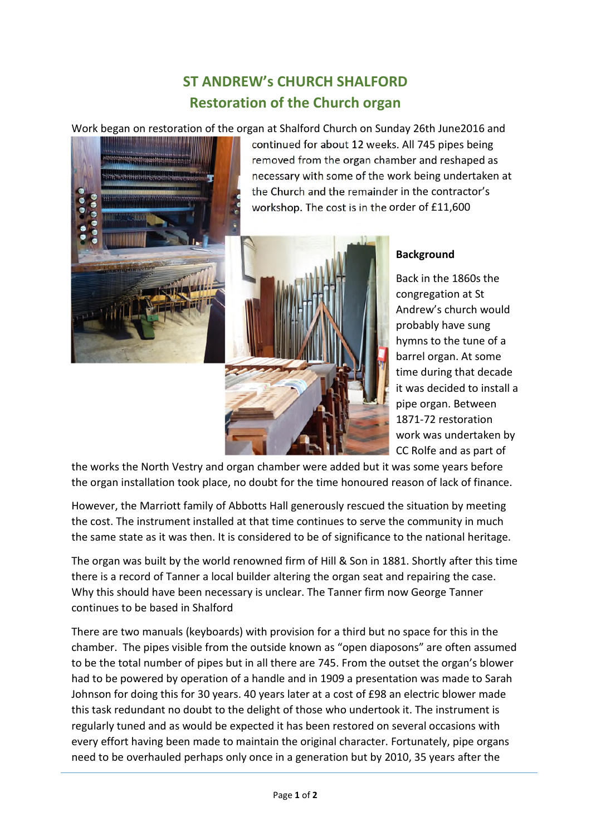## **ST ANDREW's CHURCH SHALFORD Restoration of the Church organ**

Work began on restoration of the organ at Shalford Church on Sunday 26th June2016 and



continued for about 12 weeks. All 745 pipes being removed from the organ chamber and reshaped as necessary with some of the work being undertaken at the Church and the remainder in the contractor's workshop. The cost is in the order of £11,600



## **Background**

Back in the 1860s the congregation at St Andrew's church would probably have sung hymns to the tune of a barrel organ. At some time during that decade it was decided to install a pipe organ. Between 1871-72 restoration work was undertaken by CC Rolfe and as part of

the works the North Vestry and organ chamber were added but it was some years before the organ installation took place, no doubt for the time honoured reason of lack of finance.

However, the Marriott family of Abbotts Hall generously rescued the situation by meeting the cost. The instrument installed at that time continues to serve the community in much the same state as it was then. It is considered to be of significance to the national heritage.

The organ was built by the world renowned firm of Hill & Son in 1881. Shortly after this time there is a record of Tanner a local builder altering the organ seat and repairing the case. Why this should have been necessary is unclear. The Tanner firm now George Tanner continues to be based in Shalford

There are two manuals (keyboards) with provision for a third but no space for this in the chamber. The pipes visible from the outside known as "open diaposons" are often assumed to be the total number of pipes but in all there are 745. From the outset the organ's blower had to be powered by operation of a handle and in 1909 a presentation was made to Sarah Johnson for doing this for 30 years. 40 years later at a cost of £98 an electric blower made this task redundant no doubt to the delight of those who undertook it. The instrument is regularly tuned and as would be expected it has been restored on several occasions with every effort having been made to maintain the original character. Fortunately, pipe organs need to be overhauled perhaps only once in a generation but by 2010, 35 years after the